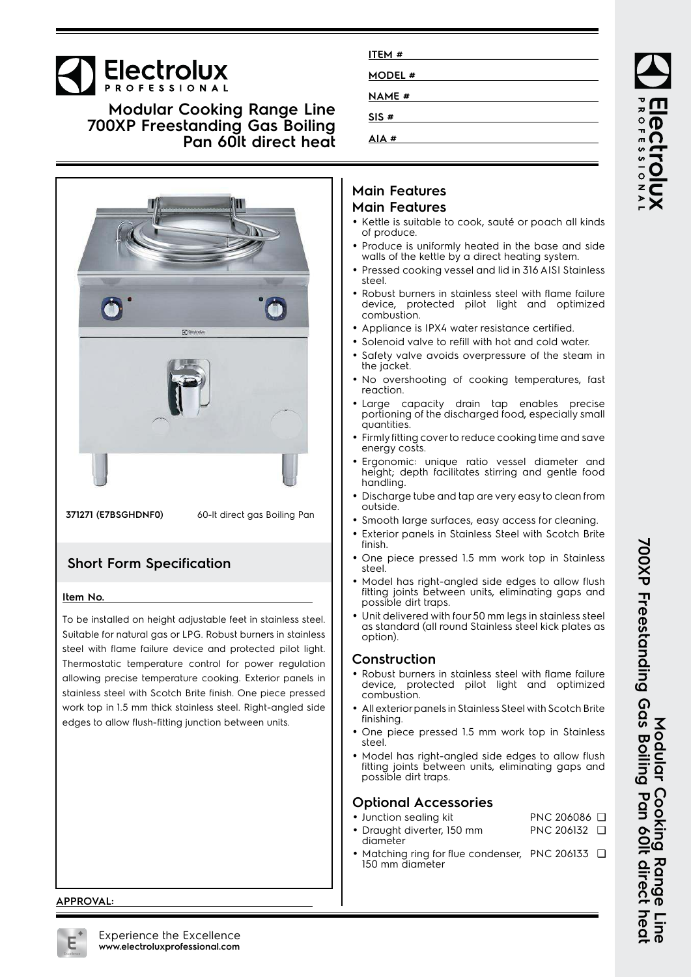# **Electrolux**

**Modular Cooking Range Line 700XP Freestanding Gas Boiling Pan 60lt direct heat**



**371271 (E7BSGHDNF0)** 60-lt direct gas Boiling Pan

### **Short Form Specification**

#### **Item No.**

To be installed on height adjustable feet in stainless steel. Suitable for natural gas or LPG. Robust burners in stainless steel with flame failure device and protected pilot light. Thermostatic temperature control for power regulation allowing precise temperature cooking. Exterior panels in stainless steel with Scotch Brite finish. One piece pressed work top in 1.5 mm thick stainless steel. Right-angled side edges to allow flush-fitting junction between units.

## **Main Features Main Features**

**ITEM # MODEL # NAME # SIS # AIA #**

- Kettle is suitable to cook, sauté or poach all kinds of produce.
- Produce is uniformly heated in the base and side walls of the kettle by a direct heating system.
- Pressed cooking vessel and lid in 316 AISI Stainless steel.
- Robust burners in stainless steel with flame failure device, protected pilot light and optimized combustion.
- Appliance is IPX4 water resistance certified.
- •Solenoid valve to refill with hot and cold water.
- • Safety valve avoids overpressure of the steam in the jacket.
- No overshooting of cooking temperatures, fast reaction.
- Large capacity drain tap enables precise portioning of the discharged food, especially small quantities.
- Firmly fitting cover to reduce cooking time and save energy costs.
- • Ergonomic: unique ratio vessel diameter and height; depth facilitates stirring and gentle food handling.
- Discharge tube and tap are very easy to clean from outside.
- •Smooth large surfaces, easy access for cleaning.
- Exterior panels in Stainless Steel with Scotch Brite finish.
- One piece pressed 1.5 mm work top in Stainless steel.
- • Model has right-angled side edges to allow flush fitting joints between units, eliminating gaps and possible dirt traps.
- Unit delivered with four 50 mm legs in stainless steel as standard (all round Stainless steel kick plates as option).

#### **Construction**

- Robust burners in stainless steel with flame failure device, protected pilot light and optimized combustion.
- • All exterior panels in Stainless Steel with Scotch Brite finishing.
- • One piece pressed 1.5 mm work top in Stainless steel.
- • Model has right-angled side edges to allow flush fitting joints between units, eliminating gaps and possible dirt traps.

### **Optional Accessories**

- Junction sealing kit PNC 206086 ❑ • Draught diverter, 150 mm PNC 206132 ❑
- diameter
- •• Matching ring for flue condenser, PNC 206133 □ 150 mm diameter

#### **APPROVAL:**

700XP Freestanding Gas Boiling Pan 60It direct hea **700XP Freestanding Gas Boiling Pan 60lt direct heat** Modular Cooking Range **Modular Cooking Range Line** Tine<br>Si

ROFESSIONA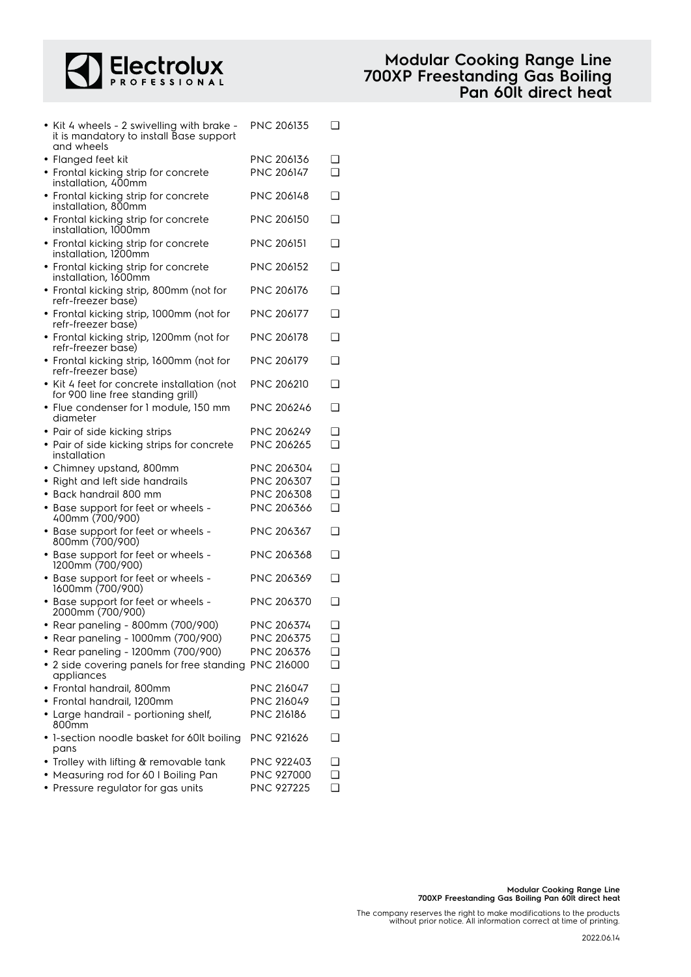

| and wheels         | • Kit 4 wheels - 2 swivelling with brake -<br>it is mandatory to install Base support | <b>PNC 206135</b> | ❏      |
|--------------------|---------------------------------------------------------------------------------------|-------------------|--------|
| • Flanged feet kit |                                                                                       | <b>PNC 206136</b> | ❏      |
|                    | • Frontal kicking strip for concrete                                                  | PNC 206147        | $\Box$ |
|                    | installation, 400mm                                                                   |                   |        |
|                    | • Frontal kicking strip for concrete                                                  | <b>PNC 206148</b> | ❏      |
|                    | installation, 800mm                                                                   |                   |        |
|                    | • Frontal kicking strip for concrete<br>installation, 1000mm                          | <b>PNC 206150</b> | ❏      |
|                    |                                                                                       | PNC 206151        | ❏      |
|                    | • Frontal kicking strip for concrete<br>installation, 1200mm                          |                   |        |
|                    | • Frontal kicking strip for concrete                                                  | PNC 206152        | ❏      |
|                    | installation, 1600mm                                                                  |                   |        |
|                    | • Frontal kicking strip, 800mm (not for                                               | PNC 206176        | ❏      |
|                    | refr-freezer base)                                                                    |                   |        |
|                    | • Frontal kicking strip, 1000mm (not for<br>refr-freezer base)                        | PNC 206177        | ❏      |
|                    | • Frontal kicking strip, 1200mm (not for                                              | PNC 206178        | ❏      |
|                    | refr-freezer base)                                                                    |                   |        |
|                    | • Frontal kicking strip, 1600mm (not for                                              | PNC 206179        | ❏      |
|                    | refr-freezer base)                                                                    |                   |        |
|                    | • Kit 4 feet for concrete installation (not                                           | <b>PNC 206210</b> | ❏      |
|                    | for 900 line free standing grill)                                                     |                   |        |
| diameter           | · Flue condenser for 1 module, 150 mm                                                 | <b>PNC 206246</b> | ❏      |
|                    | • Pair of side kicking strips                                                         | <b>PNC 206249</b> | ❏      |
|                    | • Pair of side kicking strips for concrete                                            | PNC 206265        | ❏      |
| installation       |                                                                                       |                   |        |
|                    | • Chimney upstand, 800mm                                                              | PNC 206304        | ❏      |
|                    | • Right and left side handrails                                                       | PNC 206307        | $\Box$ |
|                    | • Back handrail 800 mm                                                                | PNC 206308        | ❏      |
|                    | • Base support for feet or wheels -                                                   | PNC 206366        | ❏      |
|                    | 400mm (700/900)                                                                       |                   |        |
|                    | • Base support for feet or wheels -                                                   | PNC 206367        | ❏      |
|                    | 800mm (700/900)                                                                       |                   |        |
|                    | • Base support for feet or wheels -                                                   | PNC 206368        | ❏      |
|                    | 1200mm (700/900)                                                                      |                   |        |
|                    | • Base support for feet or wheels -<br>1600mm (700/900)                               | PNC 206369        | ❏      |
|                    | • Base support for feet or wheels -                                                   | PNC 206370        | ❏      |
|                    | 2000mm (700/900)                                                                      |                   |        |
|                    | • Rear paneling - 800mm (700/900)                                                     | <b>PNC 206374</b> | ❏      |
|                    | • Rear paneling - 1000mm (700/900)                                                    | PNC 206375        | ❏      |
|                    | • Rear paneling - 1200mm (700/900)                                                    | PNC 206376        | ❏      |
|                    | • 2 side covering panels for free standing PNC 216000                                 |                   | ❏      |
| appliances         |                                                                                       |                   |        |
|                    | • Frontal handrail, 800mm                                                             | PNC 216047        | ❏      |
|                    | • Frontal handrail, 1200mm                                                            | PNC 216049        | $\Box$ |
|                    | • Large handrail - portioning shelf,                                                  | PNC 216186        | $\Box$ |
| 800mm              |                                                                                       |                   |        |
|                    | • 1-section noodle basket for 60It boiling                                            | PNC 921626        | ⊔      |
| pans               |                                                                                       |                   |        |
|                    | • Trolley with lifting & removable tank<br>• Measuring rod for 60 I Boiling Pan       | PNC 922403        | ❏      |
|                    |                                                                                       | PNC 927000        | ❏      |
|                    | • Pressure regulator for gas units                                                    | PNC 927225        | ❏      |